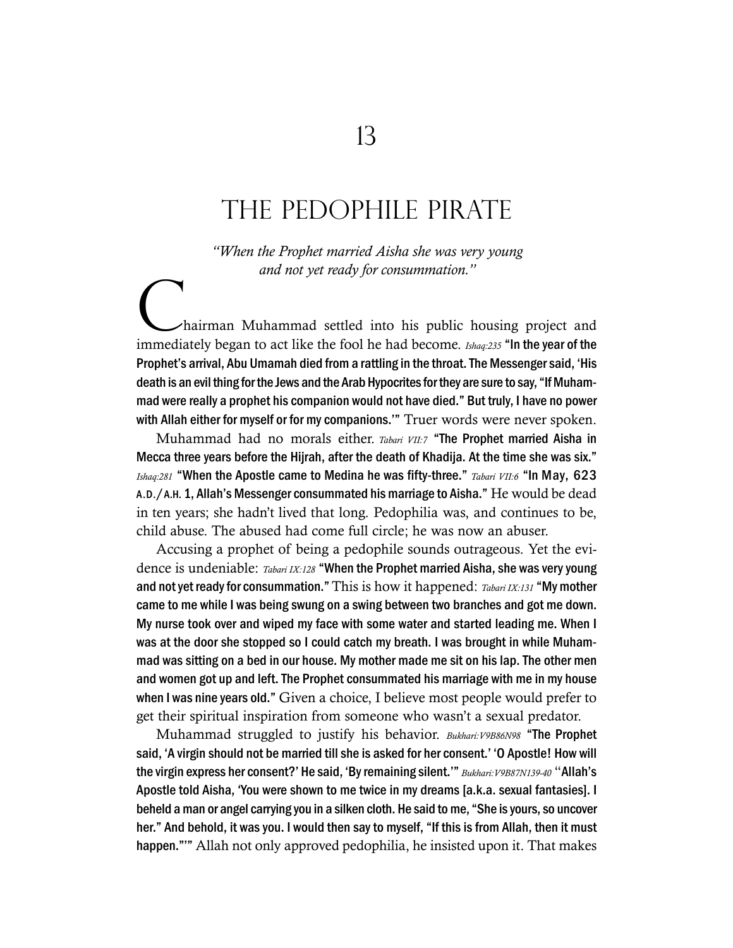## THE PEDOPHILE PIRATE

*"When the Prophet married Aisha she was very young and not yet ready for consummation."*

hairman Muhammad settled into his public housing project and immediately began to act like the fool he had become. *Ishaq:235* "In the year of the Prophet's arrival, Abu Umamah died from a rattling in the throat. The Messenger said, 'His death is an evil thing for the Jews and the Arab Hypocrites for they are sure to say, "If Muhammad were really a prophet his companion would not have died." But truly, I have no power with Allah either for myself or for my companions.'" Truer words were never spoken.

Muhammad had no morals either. *Tabari VII:7* "The Prophet married Aisha in Mecca three years before the Hijrah, after the death of Khadija. At the time she was six." *Ishaq:281* "When the Apostle came to Medina he was fifty-three." *Tabari VII:6* "In May, 623 A.D./A.H. 1, Allah's Messenger consummated his marriage to Aisha." He would be dead in ten years; she hadn't lived that long. Pedophilia was, and continues to be, child abuse. The abused had come full circle; he was now an abuser.

Accusing a prophet of being a pedophile sounds outrageous. Yet the evidence is undeniable: *Tabari IX:128* "When the Prophet married Aisha, she was very young and not yet ready for consummation." This is how it happened: *Tabari IX:131* "My mother came to me while I was being swung on a swing between two branches and got me down. My nurse took over and wiped my face with some water and started leading me. When I was at the door she stopped so I could catch my breath. I was brought in while Muhammad was sitting on a bed in our house. My mother made me sit on his lap. The other men and women got up and left. The Prophet consummated his marriage with me in my house when I was nine years old." Given a choice, I believe most people would prefer to get their spiritual inspiration from someone who wasn't a sexual predator.

Muhammad struggled to justify his behavior. *Bukhari:V9B86N98* "The Prophet said, 'A virgin should not be married till she is asked for her consent.' 'O Apostle! How will the virgin express her consent?' He said, 'By remaining silent.'" *Bukhari:V9B87N139-40* "Allah's Apostle told Aisha, 'You were shown to me twice in my dreams [a.k.a. sexual fantasies]. I beheld a man or angel carrying you in a silken cloth. He said to me, "She is yours, so uncover her." And behold, it was you. I would then say to myself, "If this is from Allah, then it must happen."'" Allah not only approved pedophilia, he insisted upon it. That makes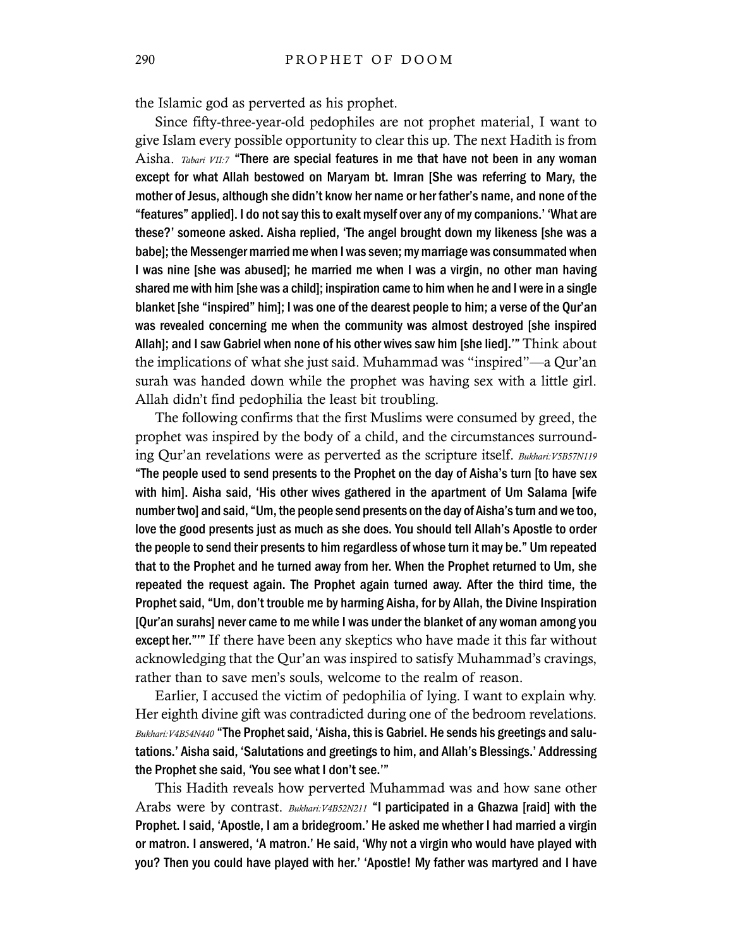the Islamic god as perverted as his prophet.

Since fifty-three-year-old pedophiles are not prophet material, I want to give Islam every possible opportunity to clear this up. The next Hadith is from Aisha. *Tabari VII:7* "There are special features in me that have not been in any woman except for what Allah bestowed on Maryam bt. Imran [She was referring to Mary, the mother of Jesus, although she didn't know her name or her father's name, and none of the "features" applied]. I do not say this to exalt myself over any of my companions.' 'What are these?' someone asked. Aisha replied, 'The angel brought down my likeness [she was a babe]; the Messenger married me when I was seven; my marriage was consummated when I was nine [she was abused]; he married me when I was a virgin, no other man having shared me with him [she was a child]; inspiration came to him when he and I were in a single blanket [she "inspired" him]; I was one of the dearest people to him; a verse of the Qur'an was revealed concerning me when the community was almost destroyed [she inspired Allah]; and I saw Gabriel when none of his other wives saw him [she lied].'" Think about the implications of what she just said. Muhammad was "inspired"—a Qur'an surah was handed down while the prophet was having sex with a little girl. Allah didn't find pedophilia the least bit troubling.

The following confirms that the first Muslims were consumed by greed, the prophet was inspired by the body of a child, and the circumstances surrounding Qur'an revelations were as perverted as the scripture itself. *Bukhari:V5B57N119* "The people used to send presents to the Prophet on the day of Aisha's turn [to have sex with him]. Aisha said, 'His other wives gathered in the apartment of Um Salama [wife number two] and said, "Um, the people send presents on the day of Aisha's turn and we too, love the good presents just as much as she does. You should tell Allah's Apostle to order the people to send their presents to him regardless of whose turn it may be." Um repeated that to the Prophet and he turned away from her. When the Prophet returned to Um, she repeated the request again. The Prophet again turned away. After the third time, the Prophet said, "Um, don't trouble me by harming Aisha, for by Allah, the Divine Inspiration [Qur'an surahs] never came to me while I was under the blanket of any woman among you except her."'" If there have been any skeptics who have made it this far without acknowledging that the Qur'an was inspired to satisfy Muhammad's cravings, rather than to save men's souls, welcome to the realm of reason.

Earlier, I accused the victim of pedophilia of lying. I want to explain why. Her eighth divine gift was contradicted during one of the bedroom revelations. *Bukhari:V4B54N440* "The Prophet said, 'Aisha, this is Gabriel. He sends his greetings and salutations.' Aisha said, 'Salutations and greetings to him, and Allah's Blessings.' Addressing the Prophet she said, 'You see what I don't see.'"

This Hadith reveals how perverted Muhammad was and how sane other Arabs were by contrast. *Bukhari:V4B52N211* "I participated in a Ghazwa [raid] with the Prophet. I said, 'Apostle, I am a bridegroom.' He asked me whether I had married a virgin or matron. I answered, 'A matron.' He said, 'Why not a virgin who would have played with you? Then you could have played with her.' 'Apostle! My father was martyred and I have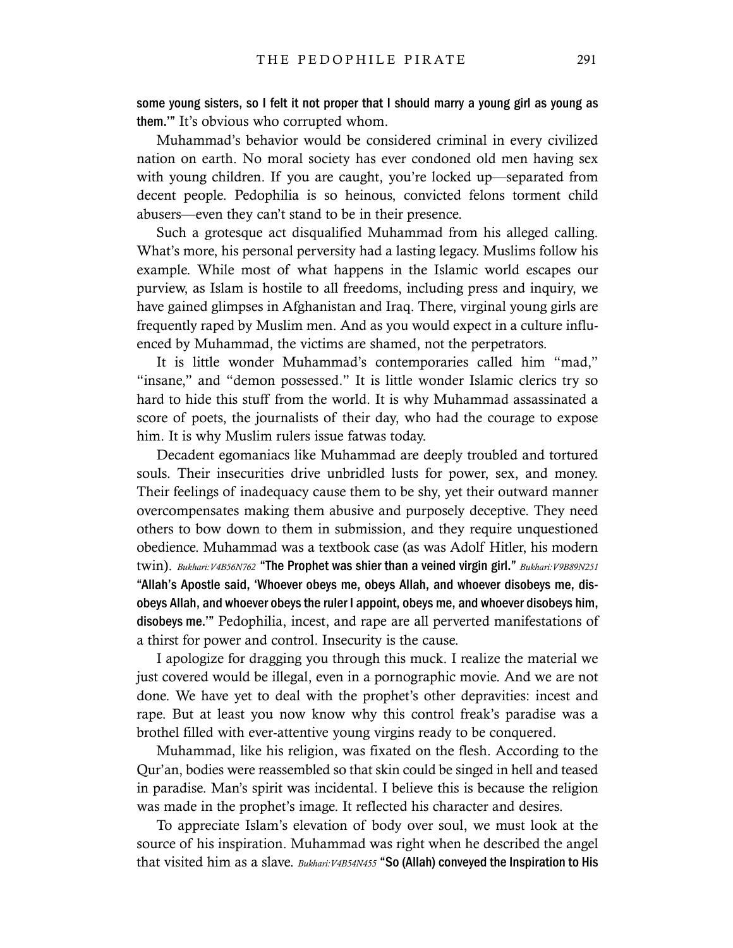some young sisters, so I felt it not proper that I should marry a young girl as young as them.'" It's obvious who corrupted whom.

Muhammad's behavior would be considered criminal in every civilized nation on earth. No moral society has ever condoned old men having sex with young children. If you are caught, you're locked up—separated from decent people. Pedophilia is so heinous, convicted felons torment child abusers—even they can't stand to be in their presence.

Such a grotesque act disqualified Muhammad from his alleged calling. What's more, his personal perversity had a lasting legacy. Muslims follow his example. While most of what happens in the Islamic world escapes our purview, as Islam is hostile to all freedoms, including press and inquiry, we have gained glimpses in Afghanistan and Iraq. There, virginal young girls are frequently raped by Muslim men. And as you would expect in a culture influenced by Muhammad, the victims are shamed, not the perpetrators.

It is little wonder Muhammad's contemporaries called him "mad," "insane," and "demon possessed." It is little wonder Islamic clerics try so hard to hide this stuff from the world. It is why Muhammad assassinated a score of poets, the journalists of their day, who had the courage to expose him. It is why Muslim rulers issue fatwas today.

Decadent egomaniacs like Muhammad are deeply troubled and tortured souls. Their insecurities drive unbridled lusts for power, sex, and money. Their feelings of inadequacy cause them to be shy, yet their outward manner overcompensates making them abusive and purposely deceptive. They need others to bow down to them in submission, and they require unquestioned obedience. Muhammad was a textbook case (as was Adolf Hitler, his modern twin). *Bukhari:V4B56N762* "The Prophet was shier than a veined virgin girl." *Bukhari:V9B89N251* "Allah's Apostle said, 'Whoever obeys me, obeys Allah, and whoever disobeys me, disobeys Allah, and whoever obeys the ruler I appoint, obeys me, and whoever disobeys him, disobeys me.'" Pedophilia, incest, and rape are all perverted manifestations of a thirst for power and control. Insecurity is the cause.

I apologize for dragging you through this muck. I realize the material we just covered would be illegal, even in a pornographic movie. And we are not done. We have yet to deal with the prophet's other depravities: incest and rape. But at least you now know why this control freak's paradise was a brothel filled with ever-attentive young virgins ready to be conquered.

Muhammad, like his religion, was fixated on the flesh. According to the Qur'an, bodies were reassembled so that skin could be singed in hell and teased in paradise. Man's spirit was incidental. I believe this is because the religion was made in the prophet's image. It reflected his character and desires.

To appreciate Islam's elevation of body over soul, we must look at the source of his inspiration. Muhammad was right when he described the angel that visited him as a slave. *Bukhari:V4B54N455* "So (Allah) conveyed the Inspiration to His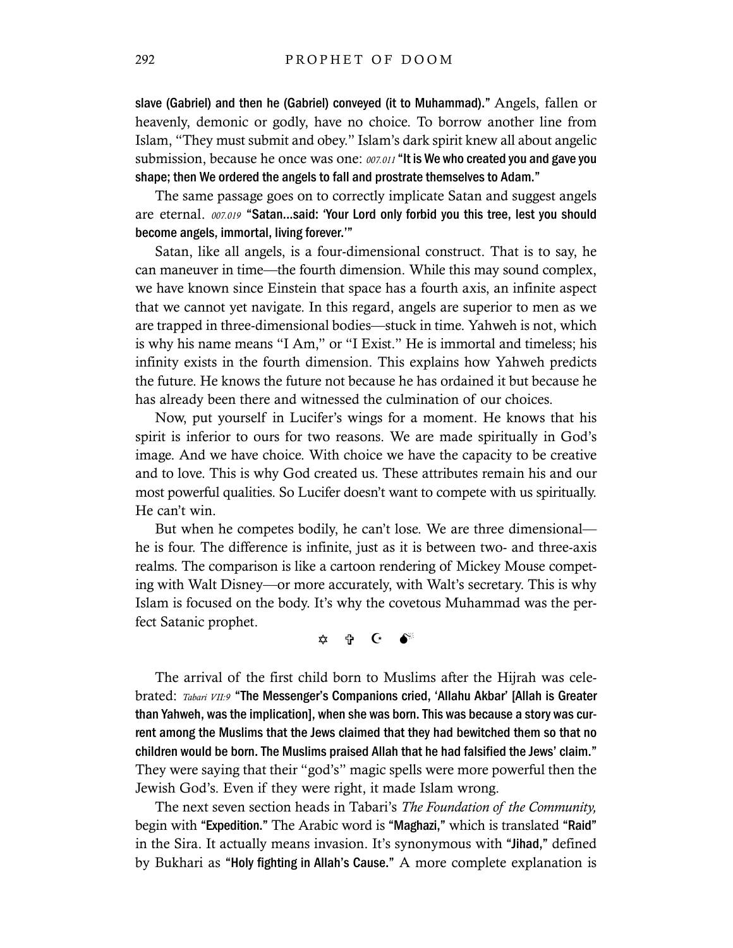slave (Gabriel) and then he (Gabriel) conveyed (it to Muhammad)." Angels, fallen or heavenly, demonic or godly, have no choice. To borrow another line from Islam, "They must submit and obey." Islam's dark spirit knew all about angelic submission, because he once was one: *007.011* "It is We who created you and gave you shape; then We ordered the angels to fall and prostrate themselves to Adam."

The same passage goes on to correctly implicate Satan and suggest angels are eternal. *007.019* "Satan...said: 'Your Lord only forbid you this tree, lest you should become angels, immortal, living forever.'"

Satan, like all angels, is a four-dimensional construct. That is to say, he can maneuver in time—the fourth dimension. While this may sound complex, we have known since Einstein that space has a fourth axis, an infinite aspect that we cannot yet navigate. In this regard, angels are superior to men as we are trapped in three-dimensional bodies—stuck in time. Yahweh is not, which is why his name means "I Am," or "I Exist." He is immortal and timeless; his infinity exists in the fourth dimension. This explains how Yahweh predicts the future. He knows the future not because he has ordained it but because he has already been there and witnessed the culmination of our choices.

Now, put yourself in Lucifer's wings for a moment. He knows that his spirit is inferior to ours for two reasons. We are made spiritually in God's image. And we have choice. With choice we have the capacity to be creative and to love. This is why God created us. These attributes remain his and our most powerful qualities. So Lucifer doesn't want to compete with us spiritually. He can't win.

But when he competes bodily, he can't lose. We are three dimensional he is four. The difference is infinite, just as it is between two- and three-axis realms. The comparison is like a cartoon rendering of Mickey Mouse competing with Walt Disney—or more accurately, with Walt's secretary. This is why Islam is focused on the body. It's why the covetous Muhammad was the perfect Satanic prophet.

**☆ ☆ (\*** 

The arrival of the first child born to Muslims after the Hijrah was celebrated: *Tabari VII:9* "The Messenger's Companions cried, 'Allahu Akbar' [Allah is Greater than Yahweh, was the implication], when she was born. This was because a story was current among the Muslims that the Jews claimed that they had bewitched them so that no children would be born. The Muslims praised Allah that he had falsified the Jews' claim." They were saying that their "god's" magic spells were more powerful then the Jewish God's. Even if they were right, it made Islam wrong.

The next seven section heads in Tabari's *The Foundation of the Community,* begin with "Expedition." The Arabic word is "Maghazi," which is translated "Raid" in the Sira. It actually means invasion. It's synonymous with "Jihad," defined by Bukhari as "Holy fighting in Allah's Cause." A more complete explanation is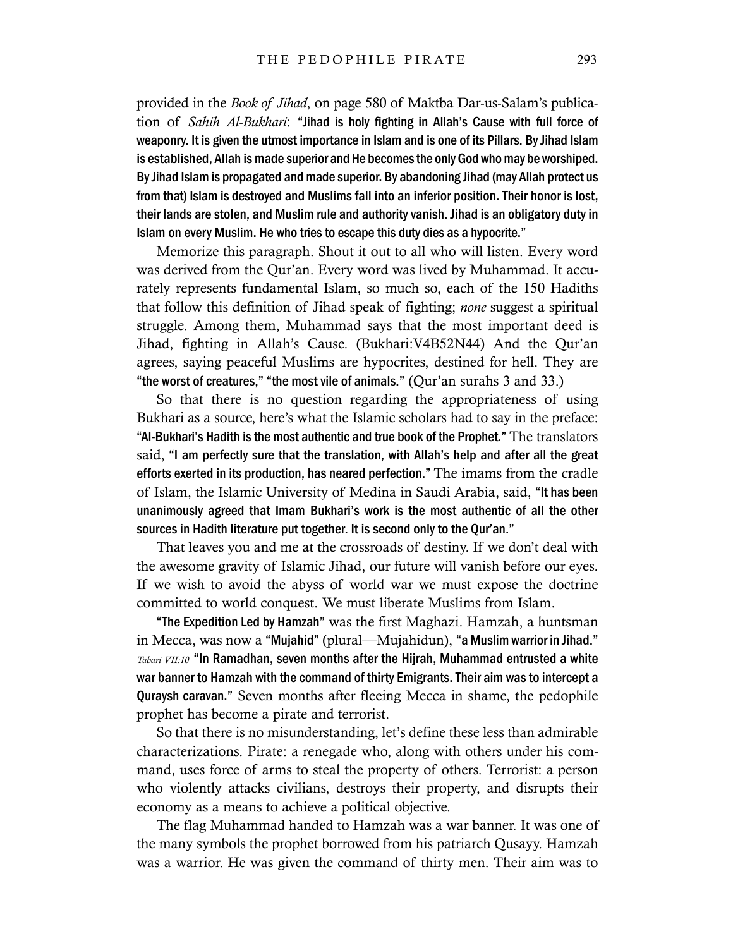provided in the *Book of Jihad*, on page 580 of Maktba Dar-us-Salam's publication of *Sahih Al-Bukhari*: "Jihad is holy fighting in Allah's Cause with full force of weaponry. It is given the utmost importance in Islam and is one of its Pillars. By Jihad Islam is established, Allah is made superior and He becomes the only God who may be worshiped. By Jihad Islam is propagated and made superior. By abandoning Jihad (may Allah protect us from that) Islam is destroyed and Muslims fall into an inferior position. Their honor is lost, their lands are stolen, and Muslim rule and authority vanish. Jihad is an obligatory duty in Islam on every Muslim. He who tries to escape this duty dies as a hypocrite."

Memorize this paragraph. Shout it out to all who will listen. Every word was derived from the Qur'an. Every word was lived by Muhammad. It accurately represents fundamental Islam, so much so, each of the 150 Hadiths that follow this definition of Jihad speak of fighting; *none* suggest a spiritual struggle. Among them, Muhammad says that the most important deed is Jihad, fighting in Allah's Cause. (Bukhari:V4B52N44) And the Qur'an agrees, saying peaceful Muslims are hypocrites, destined for hell. They are "the worst of creatures," "the most vile of animals." (Qur'an surahs 3 and 33.)

So that there is no question regarding the appropriateness of using Bukhari as a source, here's what the Islamic scholars had to say in the preface: "Al-Bukhari's Hadith is the most authentic and true book of the Prophet." The translators said, "I am perfectly sure that the translation, with Allah's help and after all the great efforts exerted in its production, has neared perfection." The imams from the cradle of Islam, the Islamic University of Medina in Saudi Arabia, said, "It has been unanimously agreed that Imam Bukhari's work is the most authentic of all the other sources in Hadith literature put together. It is second only to the Qur'an."

That leaves you and me at the crossroads of destiny. If we don't deal with the awesome gravity of Islamic Jihad, our future will vanish before our eyes. If we wish to avoid the abyss of world war we must expose the doctrine committed to world conquest. We must liberate Muslims from Islam.

"The Expedition Led by Hamzah" was the first Maghazi. Hamzah, a huntsman in Mecca, was now a "Mujahid" (plural—Mujahidun), "a Muslim warrior in Jihad." *Tabari VII:10* "In Ramadhan, seven months after the Hijrah, Muhammad entrusted a white war banner to Hamzah with the command of thirty Emigrants. Their aim was to intercept a Quraysh caravan." Seven months after fleeing Mecca in shame, the pedophile prophet has become a pirate and terrorist.

So that there is no misunderstanding, let's define these less than admirable characterizations. Pirate: a renegade who, along with others under his command, uses force of arms to steal the property of others. Terrorist: a person who violently attacks civilians, destroys their property, and disrupts their economy as a means to achieve a political objective.

The flag Muhammad handed to Hamzah was a war banner. It was one of the many symbols the prophet borrowed from his patriarch Qusayy. Hamzah was a warrior. He was given the command of thirty men. Their aim was to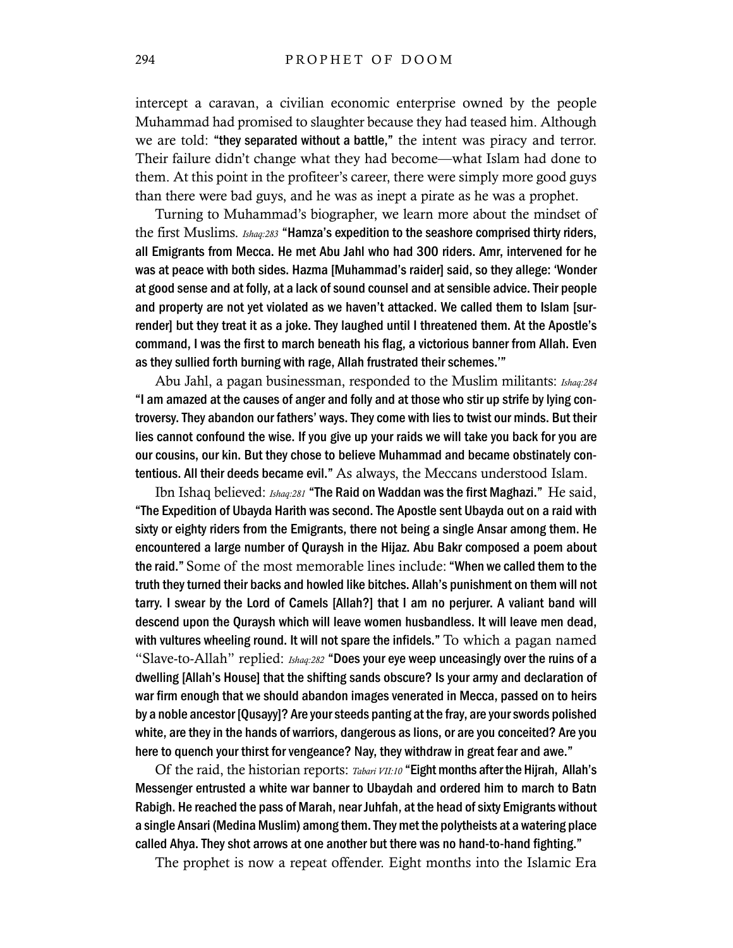intercept a caravan, a civilian economic enterprise owned by the people Muhammad had promised to slaughter because they had teased him. Although we are told: "they separated without a battle," the intent was piracy and terror. Their failure didn't change what they had become—what Islam had done to them. At this point in the profiteer's career, there were simply more good guys than there were bad guys, and he was as inept a pirate as he was a prophet.

Turning to Muhammad's biographer, we learn more about the mindset of the first Muslims. *Ishaq:283* "Hamza's expedition to the seashore comprised thirty riders, all Emigrants from Mecca. He met Abu Jahl who had 300 riders. Amr, intervened for he was at peace with both sides. Hazma [Muhammad's raider] said, so they allege: 'Wonder at good sense and at folly, at a lack of sound counsel and at sensible advice. Their people and property are not yet violated as we haven't attacked. We called them to Islam [surrender] but they treat it as a joke. They laughed until I threatened them. At the Apostle's command, I was the first to march beneath his flag, a victorious banner from Allah. Even as they sullied forth burning with rage, Allah frustrated their schemes.'"

Abu Jahl, a pagan businessman, responded to the Muslim militants: *Ishaq:284* "I am amazed at the causes of anger and folly and at those who stir up strife by lying controversy. They abandon our fathers' ways. They come with lies to twist our minds. But their lies cannot confound the wise. If you give up your raids we will take you back for you are our cousins, our kin. But they chose to believe Muhammad and became obstinately contentious. All their deeds became evil." As always, the Meccans understood Islam.

Ibn Ishaq believed: *Ishaq:281* "The Raid on Waddan was the first Maghazi." He said, "The Expedition of Ubayda Harith was second. The Apostle sent Ubayda out on a raid with sixty or eighty riders from the Emigrants, there not being a single Ansar among them. He encountered a large number of Quraysh in the Hijaz. Abu Bakr composed a poem about the raid." Some of the most memorable lines include:"When we called them to the truth they turned their backs and howled like bitches. Allah's punishment on them will not tarry. I swear by the Lord of Camels [Allah?] that I am no perjurer. A valiant band will descend upon the Quraysh which will leave women husbandless. It will leave men dead, with vultures wheeling round. It will not spare the infidels." To which a pagan named "Slave-to-Allah" replied: *Ishaq:282* "Does your eye weep unceasingly over the ruins of a dwelling [Allah's House] that the shifting sands obscure? Is your army and declaration of war firm enough that we should abandon images venerated in Mecca, passed on to heirs by a noble ancestor [Qusayy]? Are your steeds panting at the fray, are your swords polished white, are they in the hands of warriors, dangerous as lions, or are you conceited? Are you here to quench your thirst for vengeance? Nay, they withdraw in great fear and awe."

Of the raid, the historian reports: *Tabari VII:10* "Eight months after the Hijrah, Allah's Messenger entrusted a white war banner to Ubaydah and ordered him to march to Batn Rabigh. He reached the pass of Marah, near Juhfah, at the head of sixty Emigrants without a single Ansari (Medina Muslim) among them. They met the polytheists at a watering place called Ahya. They shot arrows at one another but there was no hand-to-hand fighting."

The prophet is now a repeat offender. Eight months into the Islamic Era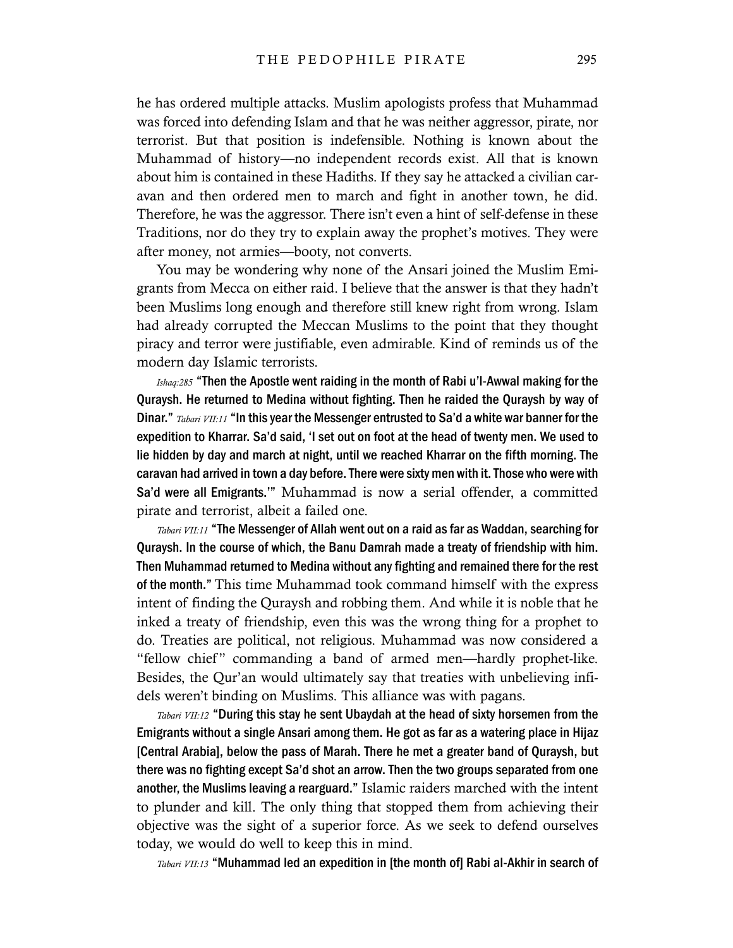he has ordered multiple attacks. Muslim apologists profess that Muhammad was forced into defending Islam and that he was neither aggressor, pirate, nor terrorist. But that position is indefensible. Nothing is known about the Muhammad of history—no independent records exist. All that is known about him is contained in these Hadiths. If they say he attacked a civilian caravan and then ordered men to march and fight in another town, he did. Therefore, he was the aggressor. There isn't even a hint of self-defense in these Traditions, nor do they try to explain away the prophet's motives. They were after money, not armies—booty, not converts.

You may be wondering why none of the Ansari joined the Muslim Emigrants from Mecca on either raid. I believe that the answer is that they hadn't been Muslims long enough and therefore still knew right from wrong. Islam had already corrupted the Meccan Muslims to the point that they thought piracy and terror were justifiable, even admirable. Kind of reminds us of the modern day Islamic terrorists.

*Ishaq:285* "Then the Apostle went raiding in the month of Rabi u'l-Awwal making for the Quraysh. He returned to Medina without fighting. Then he raided the Quraysh by way of Dinar." *Tabari VII:11* "In this year the Messenger entrusted to Sa'd a white war banner for the expedition to Kharrar. Sa'd said, 'I set out on foot at the head of twenty men. We used to lie hidden by day and march at night, until we reached Kharrar on the fifth morning. The caravan had arrived in town a day before. There were sixty men with it. Those who were with Sa'd were all Emigrants.'" Muhammad is now a serial offender, a committed pirate and terrorist, albeit a failed one.

*Tabari VII:11* "The Messenger of Allah went out on a raid as far as Waddan, searching for Quraysh. In the course of which, the Banu Damrah made a treaty of friendship with him. Then Muhammad returned to Medina without any fighting and remained there for the rest of the month." This time Muhammad took command himself with the express intent of finding the Quraysh and robbing them. And while it is noble that he inked a treaty of friendship, even this was the wrong thing for a prophet to do. Treaties are political, not religious. Muhammad was now considered a "fellow chief" commanding a band of armed men—hardly prophet-like. Besides, the Qur'an would ultimately say that treaties with unbelieving infidels weren't binding on Muslims. This alliance was with pagans.

*Tabari VII:12* "During this stay he sent Ubaydah at the head of sixty horsemen from the Emigrants without a single Ansari among them. He got as far as a watering place in Hijaz [Central Arabia], below the pass of Marah. There he met a greater band of Quraysh, but there was no fighting except Sa'd shot an arrow. Then the two groups separated from one another, the Muslims leaving a rearguard." Islamic raiders marched with the intent to plunder and kill. The only thing that stopped them from achieving their objective was the sight of a superior force. As we seek to defend ourselves today, we would do well to keep this in mind.

*Tabari VII:13* "Muhammad led an expedition in [the month of] Rabi al-Akhir in search of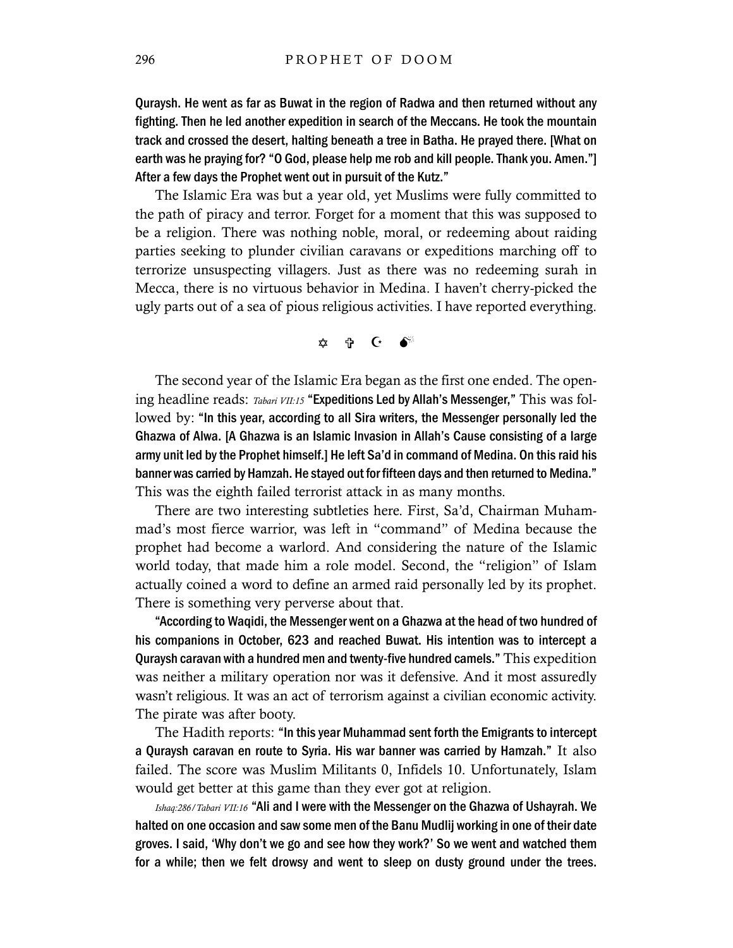Quraysh. He went as far as Buwat in the region of Radwa and then returned without any fighting. Then he led another expedition in search of the Meccans. He took the mountain track and crossed the desert, halting beneath a tree in Batha. He prayed there. [What on earth was he praying for? "O God, please help me rob and kill people. Thank you. Amen."] After a few days the Prophet went out in pursuit of the Kutz."

The Islamic Era was but a year old, yet Muslims were fully committed to the path of piracy and terror. Forget for a moment that this was supposed to be a religion. There was nothing noble, moral, or redeeming about raiding parties seeking to plunder civilian caravans or expeditions marching off to terrorize unsuspecting villagers. Just as there was no redeeming surah in Mecca, there is no virtuous behavior in Medina. I haven't cherry-picked the ugly parts out of a sea of pious religious activities. I have reported everything.

 $\hat{\mathbf{x}}$   $\oplus$   $\mathbf{G}$   $\cong$ 

The second year of the Islamic Era began as the first one ended. The opening headline reads: *Tabari VII:15* "Expeditions Led by Allah's Messenger," This was followed by: "In this year, according to all Sira writers, the Messenger personally led the Ghazwa of Alwa. [A Ghazwa is an Islamic Invasion in Allah's Cause consisting of a large army unit led by the Prophet himself.] He left Sa'd in command of Medina. On this raid his banner was carried by Hamzah. He stayed out for fifteen days and then returned to Medina." This was the eighth failed terrorist attack in as many months.

There are two interesting subtleties here. First, Sa'd, Chairman Muhammad's most fierce warrior, was left in "command" of Medina because the prophet had become a warlord. And considering the nature of the Islamic world today, that made him a role model. Second, the "religion" of Islam actually coined a word to define an armed raid personally led by its prophet. There is something very perverse about that.

"According to Waqidi, the Messenger went on a Ghazwa at the head of two hundred of his companions in October, 623 and reached Buwat. His intention was to intercept a Quraysh caravan with a hundred men and twenty-five hundred camels." This expedition was neither a military operation nor was it defensive. And it most assuredly wasn't religious. It was an act of terrorism against a civilian economic activity. The pirate was after booty.

The Hadith reports: "In this year Muhammad sent forth the Emigrants to intercept a Quraysh caravan en route to Syria. His war banner was carried by Hamzah." It also failed. The score was Muslim Militants 0, Infidels 10. Unfortunately, Islam would get better at this game than they ever got at religion.

*Ishaq:286/Tabari VII:16* "Ali and I were with the Messenger on the Ghazwa of Ushayrah. We halted on one occasion and saw some men of the Banu Mudlij working in one of their date groves. I said, 'Why don't we go and see how they work?' So we went and watched them for a while; then we felt drowsy and went to sleep on dusty ground under the trees.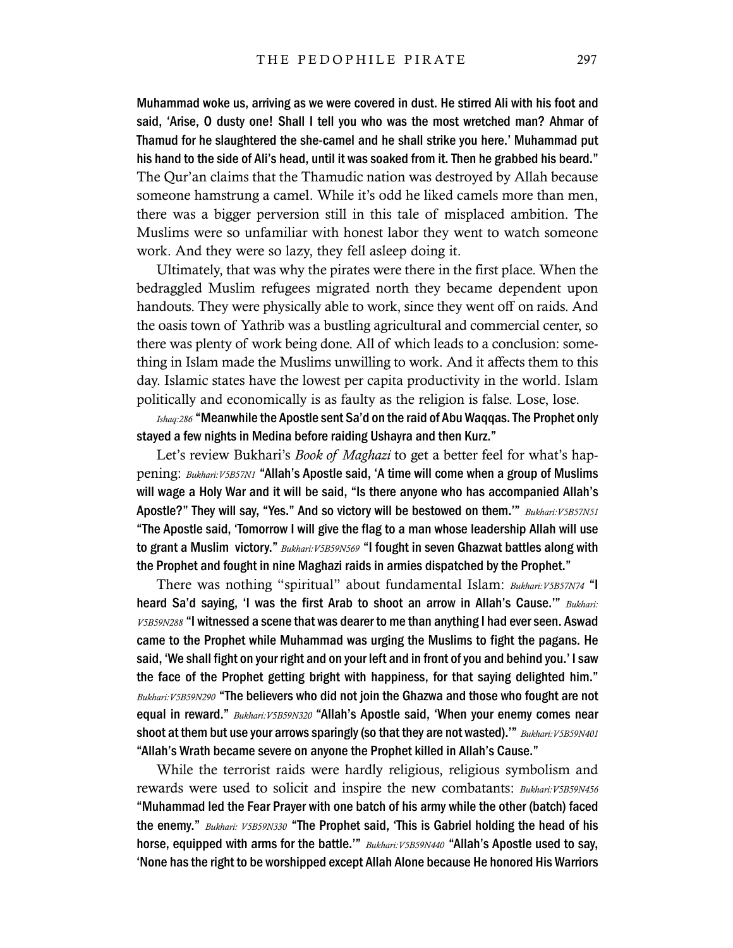Muhammad woke us, arriving as we were covered in dust. He stirred Ali with his foot and said, 'Arise, O dusty one! Shall I tell you who was the most wretched man? Ahmar of Thamud for he slaughtered the she-camel and he shall strike you here.' Muhammad put his hand to the side of Ali's head, until it was soaked from it. Then he grabbed his beard." The Qur'an claims that the Thamudic nation was destroyed by Allah because someone hamstrung a camel. While it's odd he liked camels more than men, there was a bigger perversion still in this tale of misplaced ambition. The Muslims were so unfamiliar with honest labor they went to watch someone work. And they were so lazy, they fell asleep doing it.

Ultimately, that was why the pirates were there in the first place. When the bedraggled Muslim refugees migrated north they became dependent upon handouts. They were physically able to work, since they went off on raids. And the oasis town of Yathrib was a bustling agricultural and commercial center, so there was plenty of work being done. All of which leads to a conclusion: something in Islam made the Muslims unwilling to work. And it affects them to this day. Islamic states have the lowest per capita productivity in the world. Islam politically and economically is as faulty as the religion is false. Lose, lose.

*Ishaq:286* "Meanwhile the Apostle sent Sa'd on the raid of Abu Waqqas. The Prophet only stayed a few nights in Medina before raiding Ushayra and then Kurz."

Let's review Bukhari's *Book of Maghazi* to get a better feel for what's happening: *Bukhari:V5B57N1* "Allah's Apostle said, 'A time will come when a group of Muslims will wage a Holy War and it will be said, "Is there anyone who has accompanied Allah's Apostle?" They will say, "Yes." And so victory will be bestowed on them.'" *Bukhari:V5B57N51* "The Apostle said, 'Tomorrow I will give the flag to a man whose leadership Allah will use to grant a Muslim victory." *Bukhari:V5B59N569* "I fought in seven Ghazwat battles along with the Prophet and fought in nine Maghazi raids in armies dispatched by the Prophet."

There was nothing "spiritual" about fundamental Islam: *Bukhari:V5B57N74* "I heard Sa'd saying, 'I was the first Arab to shoot an arrow in Allah's Cause.'" *Bukhari: V5B59N288* "I witnessed a scene that was dearer to me than anything I had ever seen. Aswad came to the Prophet while Muhammad was urging the Muslims to fight the pagans. He said, 'We shall fight on your right and on your left and in front of you and behind you.' I saw the face of the Prophet getting bright with happiness, for that saying delighted him." *Bukhari:V5B59N290* "The believers who did not join the Ghazwa and those who fought are not equal in reward." *Bukhari:V5B59N320* "Allah's Apostle said, 'When your enemy comes near shoot at them but use your arrows sparingly (so that they are not wasted)." *Bukhari:V5B59N401* "Allah's Wrath became severe on anyone the Prophet killed in Allah's Cause."

While the terrorist raids were hardly religious, religious symbolism and rewards were used to solicit and inspire the new combatants: *Bukhari:V5B59N456* "Muhammad led the Fear Prayer with one batch of his army while the other (batch) faced the enemy." *Bukhari: V5B59N330* "The Prophet said, 'This is Gabriel holding the head of his horse, equipped with arms for the battle." *Bukhari:V5B59N440* "Allah's Apostle used to say, 'None has the right to be worshipped except Allah Alone because He honored His Warriors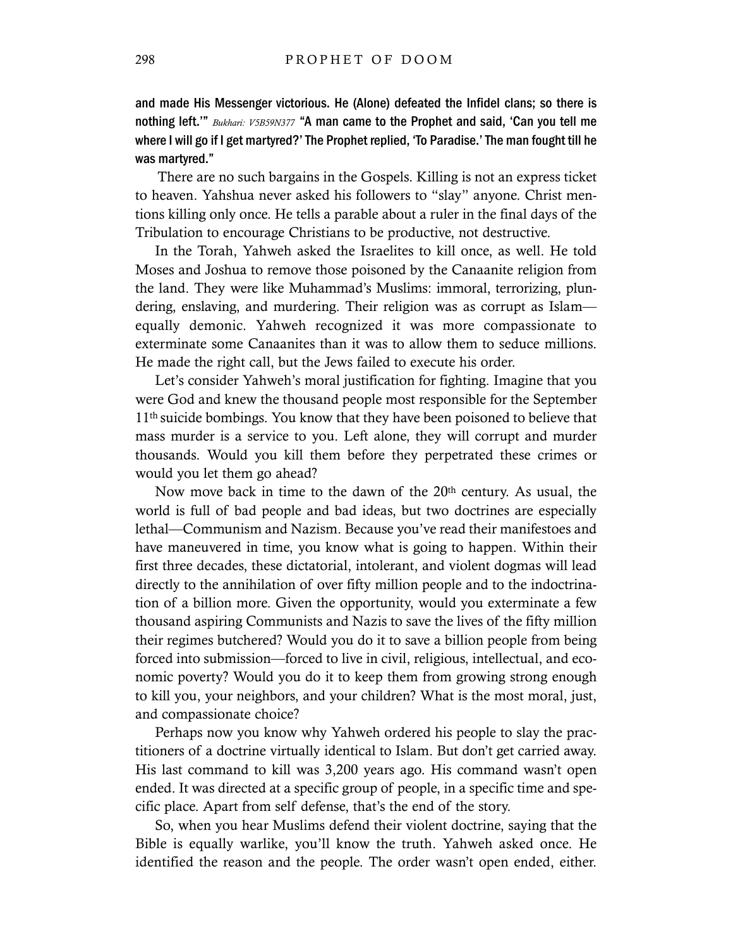and made His Messenger victorious. He (Alone) defeated the Infidel clans; so there is nothing left.'" *Bukhari: V5B59N377* "A man came to the Prophet and said, 'Can you tell me where I will go if I get martyred?' The Prophet replied, 'To Paradise.' The man fought till he was martyred."

There are no such bargains in the Gospels. Killing is not an express ticket to heaven. Yahshua never asked his followers to "slay" anyone. Christ mentions killing only once. He tells a parable about a ruler in the final days of the Tribulation to encourage Christians to be productive, not destructive.

In the Torah, Yahweh asked the Israelites to kill once, as well. He told Moses and Joshua to remove those poisoned by the Canaanite religion from the land. They were like Muhammad's Muslims: immoral, terrorizing, plundering, enslaving, and murdering. Their religion was as corrupt as Islam equally demonic. Yahweh recognized it was more compassionate to exterminate some Canaanites than it was to allow them to seduce millions. He made the right call, but the Jews failed to execute his order.

Let's consider Yahweh's moral justification for fighting. Imagine that you were God and knew the thousand people most responsible for the September 11<sup>th</sup> suicide bombings. You know that they have been poisoned to believe that mass murder is a service to you. Left alone, they will corrupt and murder thousands. Would you kill them before they perpetrated these crimes or would you let them go ahead?

Now move back in time to the dawn of the 20<sup>th</sup> century. As usual, the world is full of bad people and bad ideas, but two doctrines are especially lethal—Communism and Nazism. Because you've read their manifestoes and have maneuvered in time, you know what is going to happen. Within their first three decades, these dictatorial, intolerant, and violent dogmas will lead directly to the annihilation of over fifty million people and to the indoctrination of a billion more. Given the opportunity, would you exterminate a few thousand aspiring Communists and Nazis to save the lives of the fifty million their regimes butchered? Would you do it to save a billion people from being forced into submission—forced to live in civil, religious, intellectual, and economic poverty? Would you do it to keep them from growing strong enough to kill you, your neighbors, and your children? What is the most moral, just, and compassionate choice?

Perhaps now you know why Yahweh ordered his people to slay the practitioners of a doctrine virtually identical to Islam. But don't get carried away. His last command to kill was 3,200 years ago. His command wasn't open ended. It was directed at a specific group of people, in a specific time and specific place. Apart from self defense, that's the end of the story.

So, when you hear Muslims defend their violent doctrine, saying that the Bible is equally warlike, you'll know the truth. Yahweh asked once. He identified the reason and the people. The order wasn't open ended, either.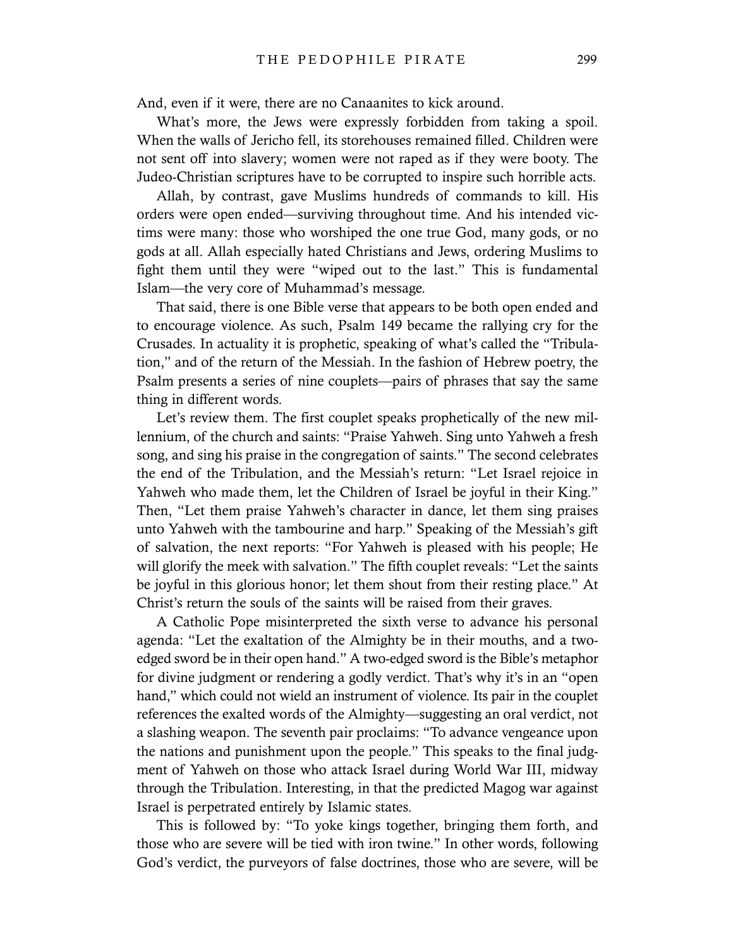And, even if it were, there are no Canaanites to kick around.

What's more, the Jews were expressly forbidden from taking a spoil. When the walls of Jericho fell, its storehouses remained filled. Children were not sent off into slavery; women were not raped as if they were booty. The Judeo-Christian scriptures have to be corrupted to inspire such horrible acts.

Allah, by contrast, gave Muslims hundreds of commands to kill. His orders were open ended—surviving throughout time. And his intended victims were many: those who worshiped the one true God, many gods, or no gods at all. Allah especially hated Christians and Jews, ordering Muslims to fight them until they were "wiped out to the last." This is fundamental Islam—the very core of Muhammad's message.

That said, there is one Bible verse that appears to be both open ended and to encourage violence. As such, Psalm 149 became the rallying cry for the Crusades. In actuality it is prophetic, speaking of what's called the "Tribulation," and of the return of the Messiah. In the fashion of Hebrew poetry, the Psalm presents a series of nine couplets—pairs of phrases that say the same thing in different words.

Let's review them. The first couplet speaks prophetically of the new millennium, of the church and saints: "Praise Yahweh. Sing unto Yahweh a fresh song, and sing his praise in the congregation of saints." The second celebrates the end of the Tribulation, and the Messiah's return: "Let Israel rejoice in Yahweh who made them, let the Children of Israel be joyful in their King." Then, "Let them praise Yahweh's character in dance, let them sing praises unto Yahweh with the tambourine and harp." Speaking of the Messiah's gift of salvation, the next reports: "For Yahweh is pleased with his people; He will glorify the meek with salvation." The fifth couplet reveals: "Let the saints be joyful in this glorious honor; let them shout from their resting place." At Christ's return the souls of the saints will be raised from their graves.

A Catholic Pope misinterpreted the sixth verse to advance his personal agenda: "Let the exaltation of the Almighty be in their mouths, and a twoedged sword be in their open hand." A two-edged sword is the Bible's metaphor for divine judgment or rendering a godly verdict. That's why it's in an "open hand," which could not wield an instrument of violence. Its pair in the couplet references the exalted words of the Almighty—suggesting an oral verdict, not a slashing weapon. The seventh pair proclaims: "To advance vengeance upon the nations and punishment upon the people." This speaks to the final judgment of Yahweh on those who attack Israel during World War III, midway through the Tribulation. Interesting, in that the predicted Magog war against Israel is perpetrated entirely by Islamic states.

This is followed by: "To yoke kings together, bringing them forth, and those who are severe will be tied with iron twine." In other words, following God's verdict, the purveyors of false doctrines, those who are severe, will be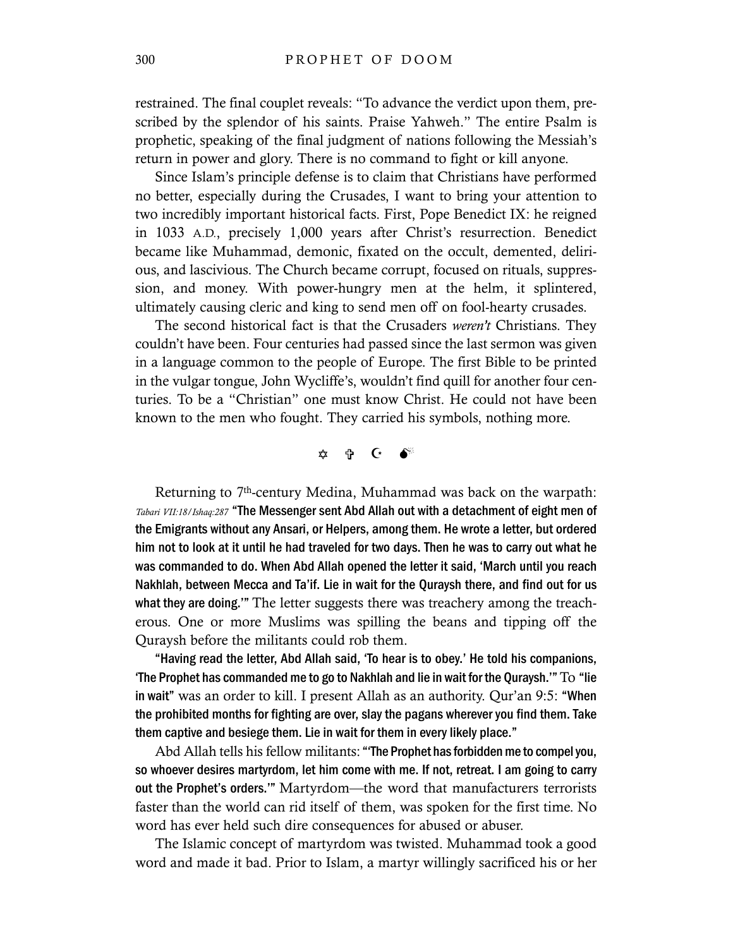restrained. The final couplet reveals: "To advance the verdict upon them, prescribed by the splendor of his saints. Praise Yahweh." The entire Psalm is prophetic, speaking of the final judgment of nations following the Messiah's return in power and glory. There is no command to fight or kill anyone.

Since Islam's principle defense is to claim that Christians have performed no better, especially during the Crusades, I want to bring your attention to two incredibly important historical facts. First, Pope Benedict IX: he reigned in 1033 A.D., precisely 1,000 years after Christ's resurrection. Benedict became like Muhammad, demonic, fixated on the occult, demented, delirious, and lascivious. The Church became corrupt, focused on rituals, suppression, and money. With power-hungry men at the helm, it splintered, ultimately causing cleric and king to send men off on fool-hearty crusades.

The second historical fact is that the Crusaders *weren't* Christians. They couldn't have been. Four centuries had passed since the last sermon was given in a language common to the people of Europe. The first Bible to be printed in the vulgar tongue, John Wycliffe's, wouldn't find quill for another four centuries. To be a "Christian" one must know Christ. He could not have been known to the men who fought. They carried his symbols, nothing more.

**☆ ☆ ☆ ◆ ☆** 

Returning to 7<sup>th</sup>-century Medina, Muhammad was back on the warpath: *Tabari VII:18/Ishaq:287* "The Messenger sent Abd Allah out with a detachment of eight men of the Emigrants without any Ansari, or Helpers, among them. He wrote a letter, but ordered him not to look at it until he had traveled for two days. Then he was to carry out what he was commanded to do. When Abd Allah opened the letter it said, 'March until you reach Nakhlah, between Mecca and Ta'if. Lie in wait for the Quraysh there, and find out for us what they are doing.'" The letter suggests there was treachery among the treacherous. One or more Muslims was spilling the beans and tipping off the Quraysh before the militants could rob them.

"Having read the letter, Abd Allah said, 'To hear is to obey.' He told his companions, 'The Prophet has commanded me to go to Nakhlah and lie in wait for the Quraysh.'" To "lie in wait" was an order to kill. I present Allah as an authority. Qur'an 9:5: "When the prohibited months for fighting are over, slay the pagans wherever you find them. Take them captive and besiege them. Lie in wait for them in every likely place."

Abd Allah tells his fellow militants:"'The Prophet has forbidden me to compel you, so whoever desires martyrdom, let him come with me. If not, retreat. I am going to carry out the Prophet's orders.'" Martyrdom—the word that manufacturers terrorists faster than the world can rid itself of them, was spoken for the first time. No word has ever held such dire consequences for abused or abuser.

The Islamic concept of martyrdom was twisted. Muhammad took a good word and made it bad. Prior to Islam, a martyr willingly sacrificed his or her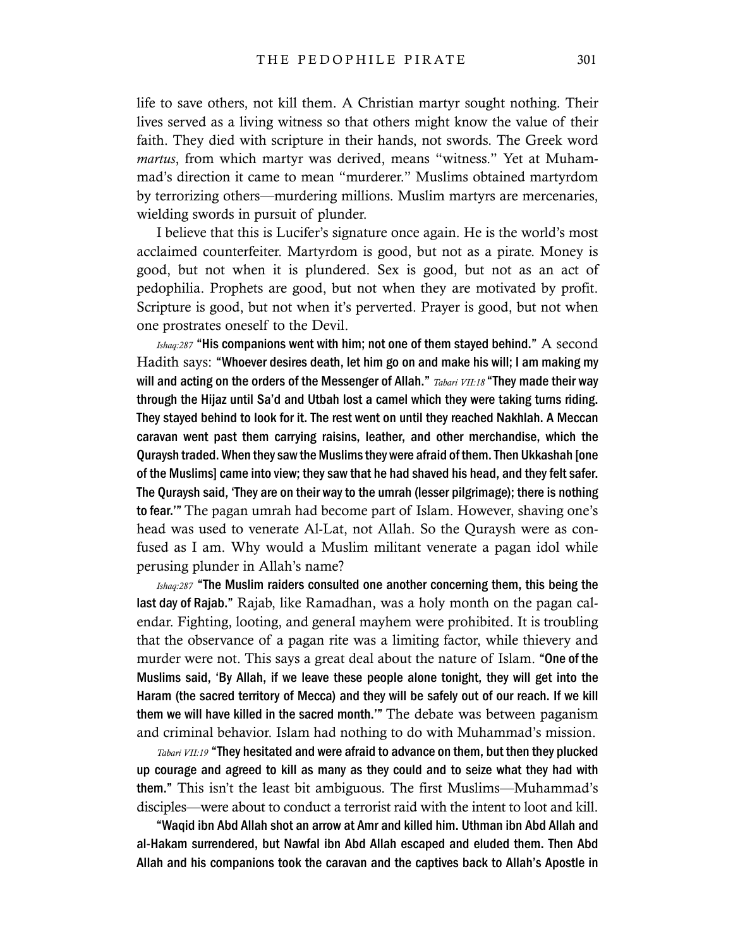life to save others, not kill them. A Christian martyr sought nothing. Their lives served as a living witness so that others might know the value of their faith. They died with scripture in their hands, not swords. The Greek word *martus*, from which martyr was derived, means "witness." Yet at Muhammad's direction it came to mean "murderer." Muslims obtained martyrdom by terrorizing others—murdering millions. Muslim martyrs are mercenaries, wielding swords in pursuit of plunder.

I believe that this is Lucifer's signature once again. He is the world's most acclaimed counterfeiter. Martyrdom is good, but not as a pirate. Money is good, but not when it is plundered. Sex is good, but not as an act of pedophilia. Prophets are good, but not when they are motivated by profit. Scripture is good, but not when it's perverted. Prayer is good, but not when one prostrates oneself to the Devil.

*Ishaq:287* "His companions went with him; not one of them stayed behind." A second Hadith says: "Whoever desires death, let him go on and make his will; I am making my will and acting on the orders of the Messenger of Allah." *Tabari VII:18* "They made their way through the Hijaz until Sa'd and Utbah lost a camel which they were taking turns riding. They stayed behind to look for it. The rest went on until they reached Nakhlah. A Meccan caravan went past them carrying raisins, leather, and other merchandise, which the Quraysh traded. When they saw the Muslims they were afraid of them. Then Ukkashah [one of the Muslims] came into view; they saw that he had shaved his head, and they felt safer. The Quraysh said, 'They are on their way to the umrah (lesser pilgrimage); there is nothing to fear.'" The pagan umrah had become part of Islam. However, shaving one's head was used to venerate Al-Lat, not Allah. So the Quraysh were as confused as I am. Why would a Muslim militant venerate a pagan idol while perusing plunder in Allah's name?

*Ishaq:287* "The Muslim raiders consulted one another concerning them, this being the last day of Rajab." Rajab, like Ramadhan, was a holy month on the pagan calendar. Fighting, looting, and general mayhem were prohibited. It is troubling that the observance of a pagan rite was a limiting factor, while thievery and murder were not. This says a great deal about the nature of Islam. "One of the Muslims said, 'By Allah, if we leave these people alone tonight, they will get into the Haram (the sacred territory of Mecca) and they will be safely out of our reach. If we kill them we will have killed in the sacred month.'" The debate was between paganism and criminal behavior. Islam had nothing to do with Muhammad's mission.

*Tabari VII:19* "They hesitated and were afraid to advance on them, but then they plucked up courage and agreed to kill as many as they could and to seize what they had with them." This isn't the least bit ambiguous. The first Muslims—Muhammad's disciples—were about to conduct a terrorist raid with the intent to loot and kill.

"Waqid ibn Abd Allah shot an arrow at Amr and killed him. Uthman ibn Abd Allah and al-Hakam surrendered, but Nawfal ibn Abd Allah escaped and eluded them. Then Abd Allah and his companions took the caravan and the captives back to Allah's Apostle in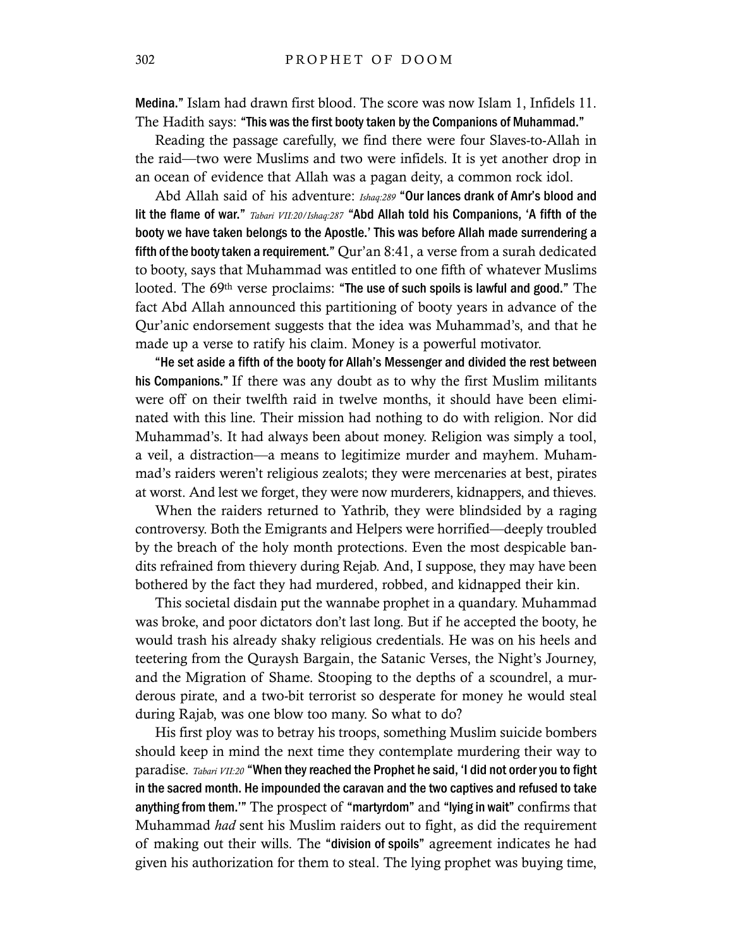Medina." Islam had drawn first blood. The score was now Islam 1, Infidels 11. The Hadith says: "This was the first booty taken by the Companions of Muhammad."

Reading the passage carefully, we find there were four Slaves-to-Allah in the raid—two were Muslims and two were infidels. It is yet another drop in an ocean of evidence that Allah was a pagan deity, a common rock idol.

Abd Allah said of his adventure: *Ishaq:289* "Our lances drank of Amr's blood and lit the flame of war." *Tabari VII:20/Ishaq:287* "Abd Allah told his Companions, 'A fifth of the booty we have taken belongs to the Apostle.' This was before Allah made surrendering a fifth of the booty taken a requirement." Qur'an 8:41, a verse from a surah dedicated to booty, says that Muhammad was entitled to one fifth of whatever Muslims looted. The 69th verse proclaims: "The use of such spoils is lawful and good." The fact Abd Allah announced this partitioning of booty years in advance of the Qur'anic endorsement suggests that the idea was Muhammad's, and that he made up a verse to ratify his claim. Money is a powerful motivator.

"He set aside a fifth of the booty for Allah's Messenger and divided the rest between his Companions." If there was any doubt as to why the first Muslim militants were off on their twelfth raid in twelve months, it should have been eliminated with this line. Their mission had nothing to do with religion. Nor did Muhammad's. It had always been about money. Religion was simply a tool, a veil, a distraction—a means to legitimize murder and mayhem. Muhammad's raiders weren't religious zealots; they were mercenaries at best, pirates at worst. And lest we forget, they were now murderers, kidnappers, and thieves.

When the raiders returned to Yathrib, they were blindsided by a raging controversy. Both the Emigrants and Helpers were horrified—deeply troubled by the breach of the holy month protections. Even the most despicable bandits refrained from thievery during Rejab. And, I suppose, they may have been bothered by the fact they had murdered, robbed, and kidnapped their kin.

This societal disdain put the wannabe prophet in a quandary. Muhammad was broke, and poor dictators don't last long. But if he accepted the booty, he would trash his already shaky religious credentials. He was on his heels and teetering from the Quraysh Bargain, the Satanic Verses, the Night's Journey, and the Migration of Shame. Stooping to the depths of a scoundrel, a murderous pirate, and a two-bit terrorist so desperate for money he would steal during Rajab, was one blow too many. So what to do?

His first ploy was to betray his troops, something Muslim suicide bombers should keep in mind the next time they contemplate murdering their way to paradise. *Tabari VII:20* "When they reached the Prophet he said, 'I did not order you to fight in the sacred month. He impounded the caravan and the two captives and refused to take anything from them.'" The prospect of "martyrdom" and "lying in wait" confirms that Muhammad *had* sent his Muslim raiders out to fight, as did the requirement of making out their wills. The "division of spoils" agreement indicates he had given his authorization for them to steal. The lying prophet was buying time,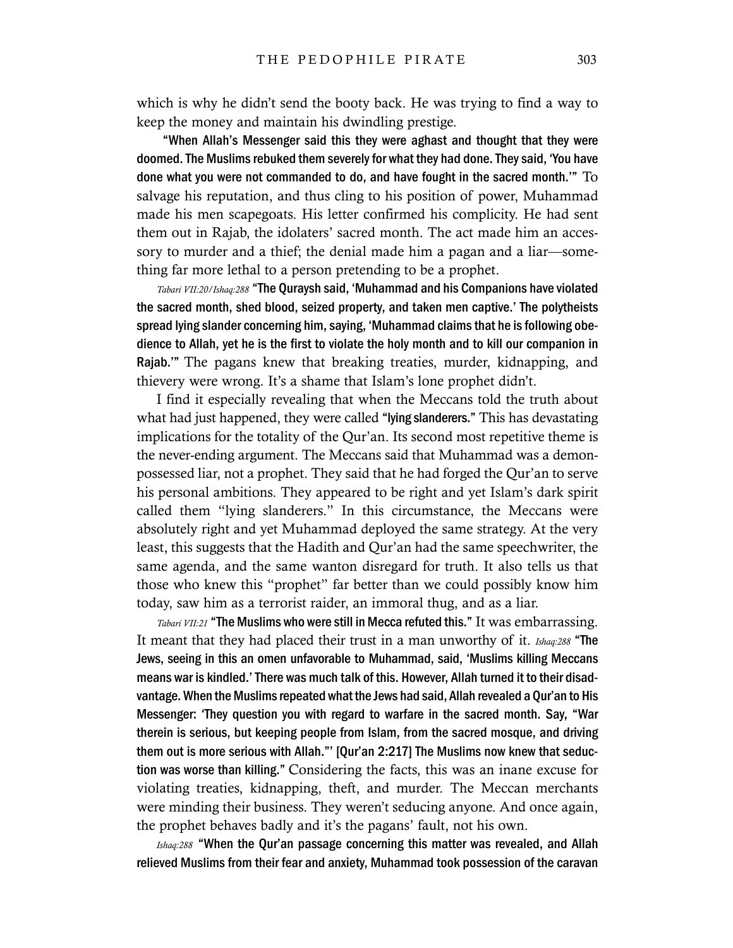which is why he didn't send the booty back. He was trying to find a way to keep the money and maintain his dwindling prestige.

"When Allah's Messenger said this they were aghast and thought that they were doomed. The Muslims rebuked them severely for what they had done. They said, 'You have done what you were not commanded to do, and have fought in the sacred month.'" To salvage his reputation, and thus cling to his position of power, Muhammad made his men scapegoats. His letter confirmed his complicity. He had sent them out in Rajab, the idolaters' sacred month. The act made him an accessory to murder and a thief; the denial made him a pagan and a liar—something far more lethal to a person pretending to be a prophet.

*Tabari VII:20/Ishaq:288* "The Quraysh said, 'Muhammad and his Companions have violated the sacred month, shed blood, seized property, and taken men captive.' The polytheists spread lying slander concerning him, saying, 'Muhammad claims that he is following obedience to Allah, yet he is the first to violate the holy month and to kill our companion in Rajab.'" The pagans knew that breaking treaties, murder, kidnapping, and thievery were wrong. It's a shame that Islam's lone prophet didn't.

I find it especially revealing that when the Meccans told the truth about what had just happened, they were called "lying slanderers." This has devastating implications for the totality of the Qur'an. Its second most repetitive theme is the never-ending argument. The Meccans said that Muhammad was a demonpossessed liar, not a prophet. They said that he had forged the Qur'an to serve his personal ambitions. They appeared to be right and yet Islam's dark spirit called them "lying slanderers." In this circumstance, the Meccans were absolutely right and yet Muhammad deployed the same strategy. At the very least, this suggests that the Hadith and Qur'an had the same speechwriter, the same agenda, and the same wanton disregard for truth. It also tells us that those who knew this "prophet" far better than we could possibly know him today, saw him as a terrorist raider, an immoral thug, and as a liar.

*Tabari VII:21* "The Muslims who were still in Mecca refuted this." It was embarrassing. It meant that they had placed their trust in a man unworthy of it. *Ishaq:288* "The Jews, seeing in this an omen unfavorable to Muhammad, said, 'Muslims killing Meccans means war is kindled.' There was much talk of this. However, Allah turned it to their disadvantage. When the Muslims repeated what the Jews had said, Allah revealed a Qur'an to His Messenger: 'They question you with regard to warfare in the sacred month. Say, "War therein is serious, but keeping people from Islam, from the sacred mosque, and driving them out is more serious with Allah."' [Qur'an 2:217] The Muslims now knew that seduction was worse than killing." Considering the facts, this was an inane excuse for violating treaties, kidnapping, theft, and murder. The Meccan merchants were minding their business. They weren't seducing anyone. And once again, the prophet behaves badly and it's the pagans' fault, not his own.

*Ishaq:288* "When the Qur'an passage concerning this matter was revealed, and Allah relieved Muslims from their fear and anxiety, Muhammad took possession of the caravan